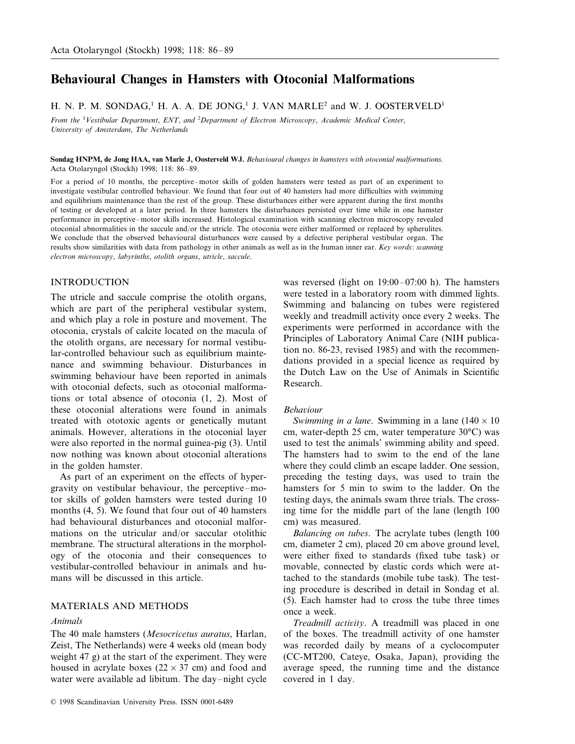# **Behavioural Changes in Hamsters with Otoconial Malformations**

H. N. P. M. SONDAG,<sup>1</sup> H. A. A. DE JONG,<sup>1</sup> J. VAN MARLE<sup>2</sup> and W. J. OOSTERVELD<sup>1</sup>

*From the* <sup>1</sup> *Vestibular Department*, *ENT*, *and* <sup>2</sup> *Department of Electron Microscopy*, *Academic Medical Center*, *University of Amsterdam*, *The Netherlands* 

**Sondag HNPM, de Jong HAA, van Marle J, Oosterveld WJ.** *Beha*6*ioural changes in hamsters with otoconial malformations*. Acta Otolaryngol (Stockh) 1998; 118: 86–89.

For a period of 10 months, the perceptive–motor skills of golden hamsters were tested as part of an experiment to investigate vestibular controlled behaviour. We found that four out of 40 hamsters had more difficulties with swimming and equilibrium maintenance than the rest of the group. These disturbances either were apparent during the first months of testing or developed at a later period. In three hamsters the disturbances persisted over time while in one hamster performance in perceptive–motor skills increased. Histological examination with scanning electron microscopy revealed otoconial abnormalities in the saccule and/or the utricle. The otoconia were either malformed or replaced by spherulites. We conclude that the observed behavioural disturbances were caused by a defective peripheral vestibular organ. The results show similarities with data from pathology in other animals as well as in the human inner ear. *Key words*: *scanning electron microscopy*, *labyrinths*, *otolith organs*, *utricle*, *saccule*.

## INTRODUCTION

The utricle and saccule comprise the otolith organs, which are part of the peripheral vestibular system, and which play a role in posture and movement. The otoconia, crystals of calcite located on the macula of the otolith organs, are necessary for normal vestibular-controlled behaviour such as equilibrium maintenance and swimming behaviour. Disturbances in swimming behaviour have been reported in animals with otoconial defects, such as otoconial malformations or total absence of otoconia (1, 2). Most of these otoconial alterations were found in animals treated with ototoxic agents or genetically mutant animals. However, alterations in the otoconial layer were also reported in the normal guinea-pig (3). Until now nothing was known about otoconial alterations in the golden hamster.

As part of an experiment on the effects of hypergravity on vestibular behaviour, the perceptive–motor skills of golden hamsters were tested during 10 months (4, 5). We found that four out of 40 hamsters had behavioural disturbances and otoconial malformations on the utricular and/or saccular otolithic membrane. The structural alterations in the morphology of the otoconia and their consequences to vestibular-controlled behaviour in animals and humans will be discussed in this article.

# MATERIALS AND METHODS

## *Animals*

The 40 male hamsters (*Mesocricetus auratus*, Harlan, Zeist, The Netherlands) were 4 weeks old (mean body weight 47 g) at the start of the experiment. They were housed in acrylate boxes ( $22 \times 37$  cm) and food and water were available ad libitum. The day–night cycle was reversed (light on 19:00–07:00 h). The hamsters were tested in a laboratory room with dimmed lights. Swimming and balancing on tubes were registered weekly and treadmill activity once every 2 weeks. The experiments were performed in accordance with the Principles of Laboratory Animal Care (NIH publication no. 86-23, revised 1985) and with the recommendations provided in a special licence as required by the Dutch Law on the Use of Animals in Scientific Research.

#### *Beha*6*iour*

*Swimming in a lane.* Swimming in a lane  $(140 \times 10)$ cm, water-depth 25 cm, water temperature 30°C) was used to test the animals' swimming ability and speed. The hamsters had to swim to the end of the lane where they could climb an escape ladder. One session, preceding the testing days, was used to train the hamsters for 5 min to swim to the ladder. On the testing days, the animals swam three trials. The crossing time for the middle part of the lane (length 100 cm) was measured.

*Balancing on tubes*. The acrylate tubes (length 100 cm, diameter 2 cm), placed 20 cm above ground level, were either fixed to standards (fixed tube task) or movable, connected by elastic cords which were attached to the standards (mobile tube task). The testing procedure is described in detail in Sondag et al. (5). Each hamster had to cross the tube three times once a week.

*Treadmill activity*. A treadmill was placed in one of the boxes. The treadmill activity of one hamster was recorded daily by means of a cyclocomputer (CC-MT200, Cateye, Osaka, Japan), providing the average speed, the running time and the distance covered in 1 day.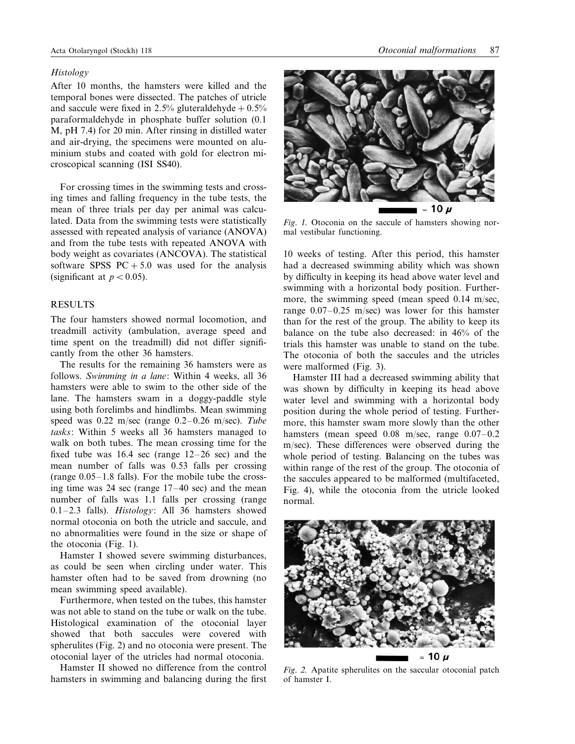#### *Histology*

After 10 months, the hamsters were killed and the temporal bones were dissected. The patches of utricle and saccule were fixed in 2.5% gluteraldehyde  $+0.5%$ paraformaldehyde in phosphate buffer solution (0.1 M, pH 7.4) for 20 min. After rinsing in distilled water and air-drying, the specimens were mounted on aluminium stubs and coated with gold for electron microscopical scanning (ISI SS40).

For crossing times in the swimming tests and crossing times and falling frequency in the tube tests, the mean of three trials per day per animal was calculated. Data from the swimming tests were statistically assessed with repeated analysis of variance (ANOVA) and from the tube tests with repeated ANOVA with body weight as covariates (ANCOVA). The statistical software SPSS  $PC + 5.0$  was used for the analysis (significant at  $p < 0.05$ ).

## RESULTS

The four hamsters showed normal locomotion, and treadmill activity (ambulation, average speed and time spent on the treadmill) did not differ significantly from the other 36 hamsters.

The results for the remaining 36 hamsters were as follows. *Swimming in a lane*: Within 4 weeks, all 36 hamsters were able to swim to the other side of the lane. The hamsters swam in a doggy-paddle style using both forelimbs and hindlimbs. Mean swimming speed was 0.22 m/sec (range 0.2–0.26 m/sec). *Tube tasks*: Within 5 weeks all 36 hamsters managed to walk on both tubes. The mean crossing time for the fixed tube was 16.4 sec (range 12–26 sec) and the mean number of falls was 0.53 falls per crossing (range 0.05–1.8 falls). For the mobile tube the crossing time was 24 sec (range 17–40 sec) and the mean number of falls was 1.1 falls per crossing (range 0.1–2.3 falls). *Histology*: All 36 hamsters showed normal otoconia on both the utricle and saccule, and no abnormalities were found in the size or shape of the otoconia (Fig. 1).

Hamster I showed severe swimming disturbances, as could be seen when circling under water. This hamster often had to be saved from drowning (no mean swimming speed available).

Furthermore, when tested on the tubes, this hamster was not able to stand on the tube or walk on the tube. Histological examination of the otoconial layer showed that both saccules were covered with spherulites (Fig. 2) and no otoconia were present. The otoconial layer of the utricles had normal otoconia.

Hamster II showed no difference from the control hamsters in swimming and balancing during the first



*Fig*. 1. Otoconia on the saccule of hamsters showing normal vestibular functioning.

10 weeks of testing. After this period, this hamster had a decreased swimming ability which was shown by difficulty in keeping its head above water level and swimming with a horizontal body position. Furthermore, the swimming speed (mean speed 0.14 m/sec, range 0.07–0.25 m/sec) was lower for this hamster than for the rest of the group. The ability to keep its balance on the tube also decreased: in 46% of the trials this hamster was unable to stand on the tube. The otoconia of both the saccules and the utricles were malformed (Fig. 3).

Hamster III had a decreased swimming ability that was shown by difficulty in keeping its head above water level and swimming with a horizontal body position during the whole period of testing. Furthermore, this hamster swam more slowly than the other hamsters (mean speed 0.08 m/sec, range 0.07–0.2 m/sec). These differences were observed during the whole period of testing. Balancing on the tubes was within range of the rest of the group. The otoconia of the saccules appeared to be malformed (multifaceted, Fig. 4), while the otoconia from the utricle looked normal.



*Fig*. <sup>2</sup>. Apatite spherulites on the saccular otoconial patch of hamster I.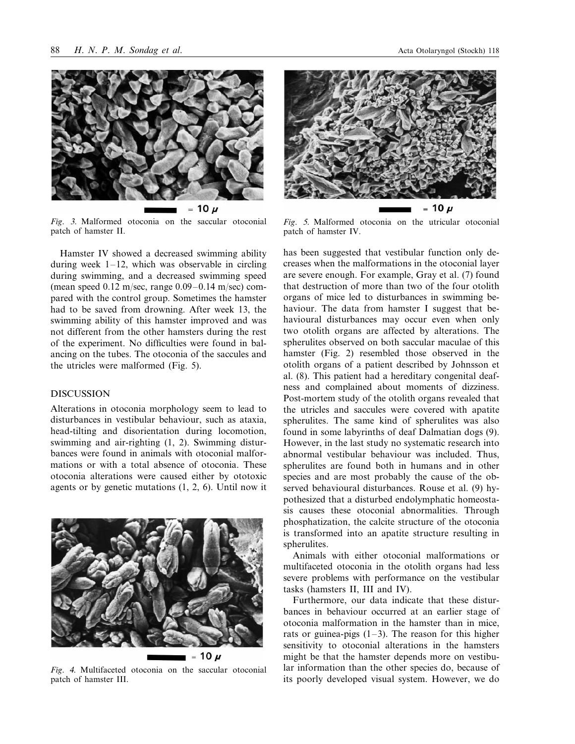

*Fig*. 3. Malformed otoconia on the saccular otoconial patch of hamster II.

Hamster IV showed a decreased swimming ability during week  $1-12$ , which was observable in circling during swimming, and a decreased swimming speed (mean speed  $0.12$  m/sec, range  $0.09-0.14$  m/sec) compared with the control group. Sometimes the hamster had to be saved from drowning. After week 13, the swimming ability of this hamster improved and was not different from the other hamsters during the rest of the experiment. No difficulties were found in balancing on the tubes. The otoconia of the saccules and the utricles were malformed (Fig. 5).

## DISCUSSION

Alterations in otoconia morphology seem to lead to disturbances in vestibular behaviour, such as ataxia, head-tilting and disorientation during locomotion, swimming and air-righting (1, 2). Swimming disturbances were found in animals with otoconial malformations or with a total absence of otoconia. These otoconia alterations were caused either by ototoxic agents or by genetic mutations (1, 2, 6). Until now it



*Fig*. <sup>4</sup>. Multifaceted otoconia on the saccular otoconial patch of hamster III.



*Fig*. <sup>5</sup>. Malformed otoconia on the utricular otoconial patch of hamster IV.

has been suggested that vestibular function only decreases when the malformations in the otoconial layer are severe enough. For example, Gray et al. (7) found that destruction of more than two of the four otolith organs of mice led to disturbances in swimming behaviour. The data from hamster I suggest that behavioural disturbances may occur even when only two otolith organs are affected by alterations. The spherulites observed on both saccular maculae of this hamster (Fig. 2) resembled those observed in the otolith organs of a patient described by Johnsson et al. (8). This patient had a hereditary congenital deafness and complained about moments of dizziness. Post-mortem study of the otolith organs revealed that the utricles and saccules were covered with apatite spherulites. The same kind of spherulites was also found in some labyrinths of deaf Dalmatian dogs (9). However, in the last study no systematic research into abnormal vestibular behaviour was included. Thus, spherulites are found both in humans and in other species and are most probably the cause of the observed behavioural disturbances. Rouse et al. (9) hypothesized that a disturbed endolymphatic homeostasis causes these otoconial abnormalities. Through phosphatization, the calcite structure of the otoconia is transformed into an apatite structure resulting in spherulites.

Animals with either otoconial malformations or multifaceted otoconia in the otolith organs had less severe problems with performance on the vestibular tasks (hamsters II, III and IV).

Furthermore, our data indicate that these disturbances in behaviour occurred at an earlier stage of otoconia malformation in the hamster than in mice, rats or guinea-pigs  $(1-3)$ . The reason for this higher sensitivity to otoconial alterations in the hamsters might be that the hamster depends more on vestibular information than the other species do, because of its poorly developed visual system. However, we do